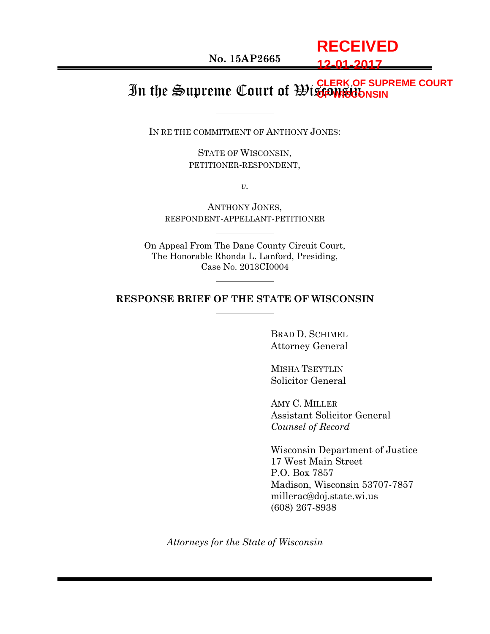**No. 15AP2665**

**RECEIVED 12-01-2017**

#### In the Supreme Court of Wisconsin **CLERK OF SUPREME COURT OF WISCONSIN**

IN RE THE COMMITMENT OF ANTHONY JONES:

STATE OF WISCONSIN, PETITIONER-RESPONDENT,

*v.*

ANTHONY JONES, RESPONDENT-APPELLANT-PETITIONER

On Appeal From The Dane County Circuit Court, The Honorable Rhonda L. Lanford, Presiding, Case No. 2013CI0004

#### **RESPONSE BRIEF OF THE STATE OF WISCONSIN**

BRAD D. SCHIMEL Attorney General

MISHA TSEYTLIN Solicitor General

AMY C. MILLER Assistant Solicitor General *Counsel of Record*

Wisconsin Department of Justice 17 West Main Street P.O. Box 7857 Madison, Wisconsin 53707-7857 millerac@doj.state.wi.us (608) 267-8938

*Attorneys for the State of Wisconsin*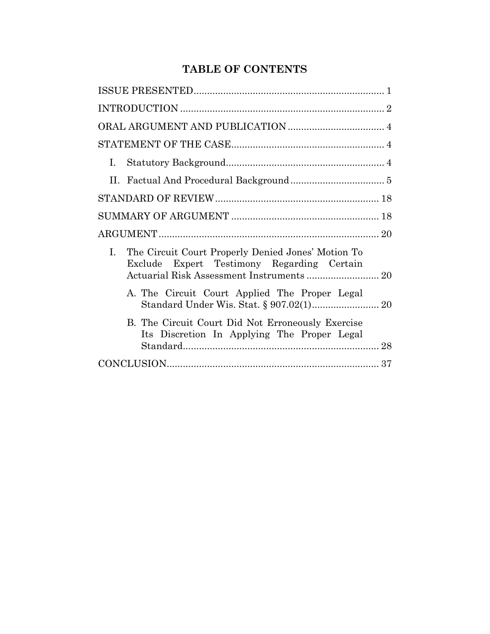# **TABLE OF CONTENTS**

| Ι. |                                                                                                  |
|----|--------------------------------------------------------------------------------------------------|
|    |                                                                                                  |
|    |                                                                                                  |
|    |                                                                                                  |
|    |                                                                                                  |
| L. | The Circuit Court Properly Denied Jones' Motion To<br>Exclude Expert Testimony Regarding Certain |
|    | A. The Circuit Court Applied The Proper Legal                                                    |
|    | B. The Circuit Court Did Not Erroneously Exercise<br>Its Discretion In Applying The Proper Legal |
|    |                                                                                                  |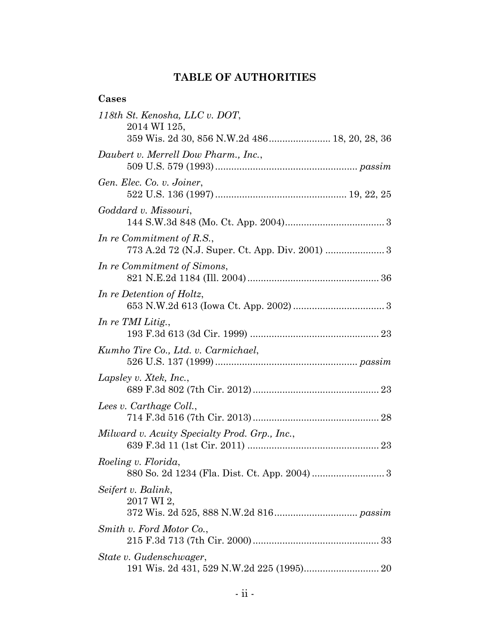# **TABLE OF AUTHORITIES**

### **Cases**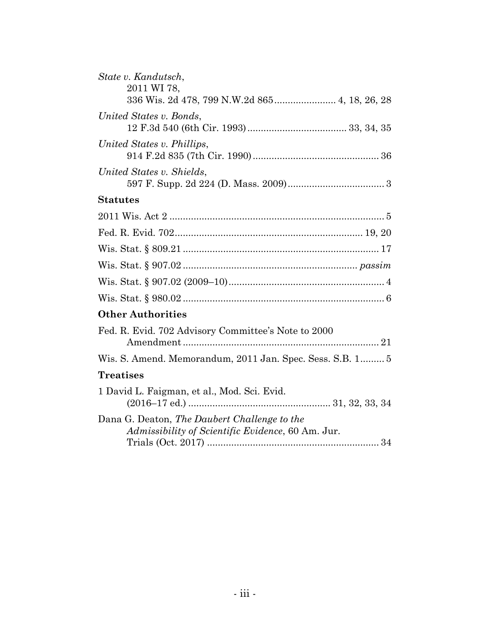| State v. Kandutsch,<br>2011 WI 78,                                                                |
|---------------------------------------------------------------------------------------------------|
| 336 Wis. 2d 478, 799 N.W.2d 865 4, 18, 26, 28                                                     |
| United States v. Bonds,                                                                           |
| United States v. Phillips,                                                                        |
| United States v. Shields,                                                                         |
| <b>Statutes</b>                                                                                   |
|                                                                                                   |
|                                                                                                   |
|                                                                                                   |
|                                                                                                   |
|                                                                                                   |
|                                                                                                   |
| <b>Other Authorities</b>                                                                          |
| Fed. R. Evid. 702 Advisory Committee's Note to 2000                                               |
| Wis. S. Amend. Memorandum, 2011 Jan. Spec. Sess. S.B. 1 5                                         |
| <b>Treatises</b>                                                                                  |
| 1 David L. Faigman, et al., Mod. Sci. Evid.                                                       |
| Dana G. Deaton, The Daubert Challenge to the<br>Admissibility of Scientific Evidence, 60 Am. Jur. |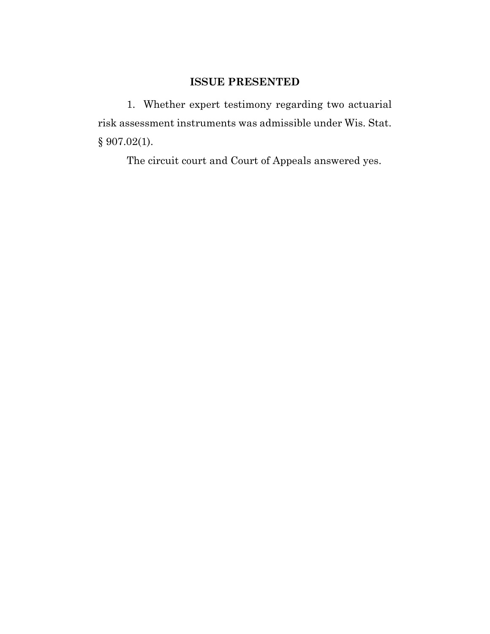# **ISSUE PRESENTED**

1. Whether expert testimony regarding two actuarial risk assessment instruments was admissible under Wis. Stat. § 907.02(1).

The circuit court and Court of Appeals answered yes.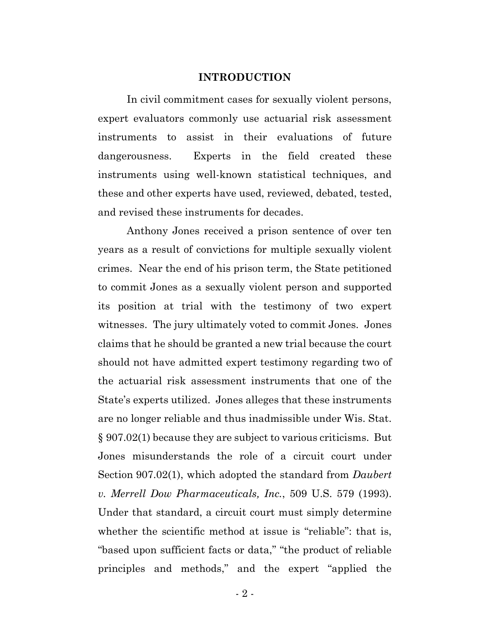#### **INTRODUCTION**

In civil commitment cases for sexually violent persons, expert evaluators commonly use actuarial risk assessment instruments to assist in their evaluations of future dangerousness. Experts in the field created these instruments using well-known statistical techniques, and these and other experts have used, reviewed, debated, tested, and revised these instruments for decades.

Anthony Jones received a prison sentence of over ten years as a result of convictions for multiple sexually violent crimes. Near the end of his prison term, the State petitioned to commit Jones as a sexually violent person and supported its position at trial with the testimony of two expert witnesses. The jury ultimately voted to commit Jones. Jones claims that he should be granted a new trial because the court should not have admitted expert testimony regarding two of the actuarial risk assessment instruments that one of the State's experts utilized. Jones alleges that these instruments are no longer reliable and thus inadmissible under Wis. Stat. § 907.02(1) because they are subject to various criticisms. But Jones misunderstands the role of a circuit court under Section 907.02(1), which adopted the standard from *Daubert v. Merrell Dow Pharmaceuticals, Inc.*, 509 U.S. 579 (1993). Under that standard, a circuit court must simply determine whether the scientific method at issue is "reliable": that is, "based upon sufficient facts or data," "the product of reliable principles and methods," and the expert "applied the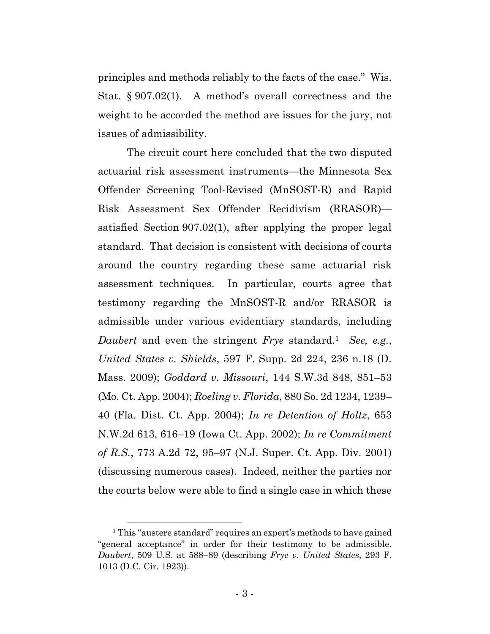principles and methods reliably to the facts of the case." Wis. Stat. § 907.02(1). A method's overall correctness and the weight to be accorded the method are issues for the jury, not issues of admissibility.

The circuit court here concluded that the two disputed actuarial risk assessment instruments—the Minnesota Sex Offender Screening Tool-Revised (MnSOST-R) and Rapid Risk Assessment Sex Offender Recidivism (RRASOR) satisfied Section 907.02(1), after applying the proper legal standard. That decision is consistent with decisions of courts around the country regarding these same actuarial risk assessment techniques. In particular, courts agree that testimony regarding the MnSOST-R and/or RRASOR is admissible under various evidentiary standards, including *Daubert* and even the stringent *Frye* standard.<sup>1</sup> *See, e.g.*, *United States v. Shields*, 597 F. Supp. 2d 224, 236 n.18 (D. Mass. 2009); *Goddard v. Missouri*, 144 S.W.3d 848, 851–53 (Mo. Ct. App. 2004); *Roeling v. Florida*, 880 So. 2d 1234, 1239– 40 (Fla. Dist. Ct. App. 2004); *In re Detention of Holtz*, 653 N.W.2d 613, 616–19 (Iowa Ct. App. 2002); *In re Commitment of R.S.*, 773 A.2d 72, 95–97 (N.J. Super. Ct. App. Div. 2001) (discussing numerous cases). Indeed, neither the parties nor the courts below were able to find a single case in which these

<sup>&</sup>lt;sup>1</sup> This "austere standard" requires an expert's methods to have gained "general acceptance" in order for their testimony to be admissible. *Daubert*, 509 U.S. at 588–89 (describing *Frye v. United States*, 293 F. 1013 (D.C. Cir. 1923)).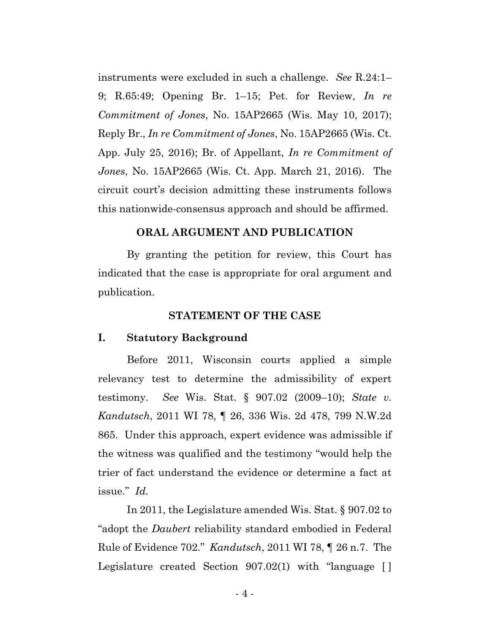instruments were excluded in such a challenge. *See* R.24:1– 9; R.65:49; Opening Br. 1–15; Pet. for Review, *In re Commitment of Jones*, No. 15AP2665 (Wis. May 10, 2017); Reply Br., *In re Commitment of Jones*, No. 15AP2665 (Wis. Ct. App. July 25, 2016); Br. of Appellant, *In re Commitment of Jones*, No. 15AP2665 (Wis. Ct. App. March 21, 2016). The circuit court's decision admitting these instruments follows this nationwide-consensus approach and should be affirmed.

#### **ORAL ARGUMENT AND PUBLICATION**

By granting the petition for review, this Court has indicated that the case is appropriate for oral argument and publication.

#### **STATEMENT OF THE CASE**

#### **I. Statutory Background**

Before 2011, Wisconsin courts applied a simple relevancy test to determine the admissibility of expert testimony. *See* Wis. Stat. § 907.02 (2009–10); *State v. Kandutsch*, 2011 WI 78, ¶ 26, 336 Wis. 2d 478, 799 N.W.2d 865.Under this approach, expert evidence was admissible if the witness was qualified and the testimony "would help the trier of fact understand the evidence or determine a fact at issue." *Id.*

In 2011, the Legislature amended Wis. Stat. § 907.02 to "adopt the *Daubert* reliability standard embodied in Federal Rule of Evidence 702." *Kandutsch*, 2011 WI 78, ¶ 26 n.7. The Legislature created Section 907.02(1) with "language [ ]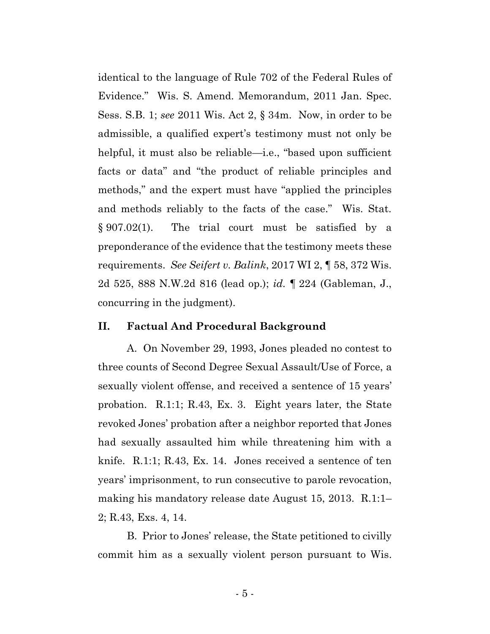identical to the language of Rule 702 of the Federal Rules of Evidence." Wis. S. Amend. Memorandum, 2011 Jan. Spec. Sess. S.B. 1; *see* 2011 Wis. Act 2, § 34m. Now, in order to be admissible, a qualified expert's testimony must not only be helpful, it must also be reliable—i.e., "based upon sufficient facts or data" and "the product of reliable principles and methods," and the expert must have "applied the principles and methods reliably to the facts of the case." Wis. Stat. § 907.02(1). The trial court must be satisfied by a preponderance of the evidence that the testimony meets these requirements. *See Seifert v. Balink*, 2017 WI 2, ¶ 58, 372 Wis. 2d 525, 888 N.W.2d 816 (lead op.); *id.* ¶ 224 (Gableman, J., concurring in the judgment).

#### **II. Factual And Procedural Background**

A. On November 29, 1993, Jones pleaded no contest to three counts of Second Degree Sexual Assault/Use of Force, a sexually violent offense, and received a sentence of 15 years' probation. R.1:1; R.43, Ex. 3. Eight years later, the State revoked Jones' probation after a neighbor reported that Jones had sexually assaulted him while threatening him with a knife. R.1:1; R.43, Ex. 14. Jones received a sentence of ten years' imprisonment, to run consecutive to parole revocation, making his mandatory release date August 15, 2013. R.1:1– 2; R.43, Exs. 4, 14.

B. Prior to Jones' release, the State petitioned to civilly commit him as a sexually violent person pursuant to Wis.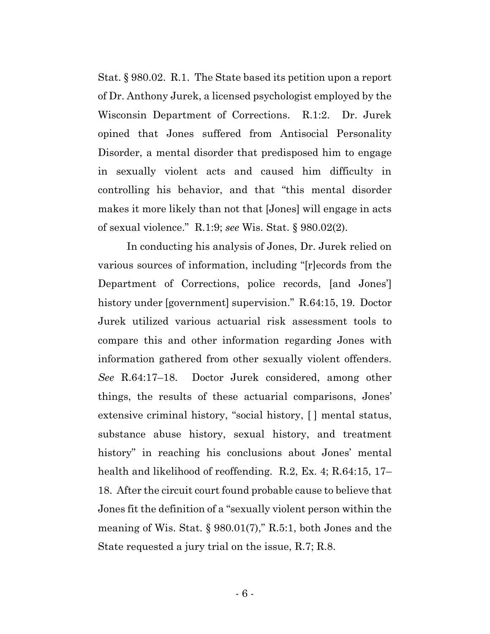Stat. § 980.02. R.1. The State based its petition upon a report of Dr. Anthony Jurek, a licensed psychologist employed by the Wisconsin Department of Corrections. R.1:2. Dr. Jurek opined that Jones suffered from Antisocial Personality Disorder, a mental disorder that predisposed him to engage in sexually violent acts and caused him difficulty in controlling his behavior, and that "this mental disorder makes it more likely than not that [Jones] will engage in acts of sexual violence." R.1:9; *see* Wis. Stat. § 980.02(2).

In conducting his analysis of Jones, Dr. Jurek relied on various sources of information, including "[r]ecords from the Department of Corrections, police records, [and Jones'] history under [government] supervision." R.64:15, 19. Doctor Jurek utilized various actuarial risk assessment tools to compare this and other information regarding Jones with information gathered from other sexually violent offenders. *See* R.64:17–18. Doctor Jurek considered, among other things, the results of these actuarial comparisons, Jones' extensive criminal history, "social history, [ ] mental status, substance abuse history, sexual history, and treatment history" in reaching his conclusions about Jones' mental health and likelihood of reoffending. R.2, Ex. 4; R.64:15, 17– 18. After the circuit court found probable cause to believe that Jones fit the definition of a "sexually violent person within the meaning of Wis. Stat. § 980.01(7)," R.5:1, both Jones and the State requested a jury trial on the issue, R.7; R.8.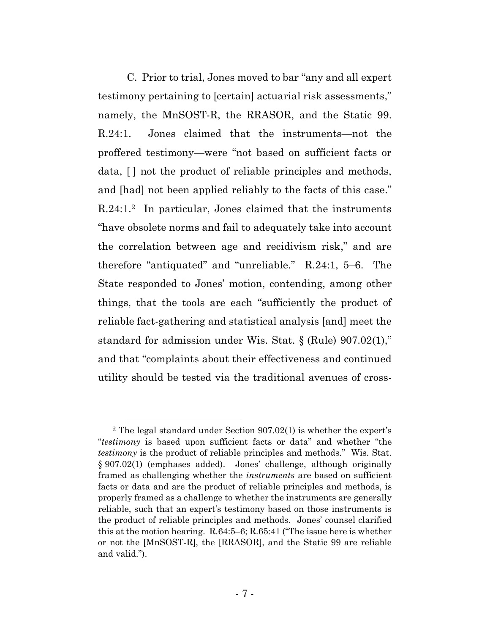C. Prior to trial, Jones moved to bar "any and all expert testimony pertaining to [certain] actuarial risk assessments," namely, the MnSOST-R, the RRASOR, and the Static 99. R.24:1. Jones claimed that the instruments—not the proffered testimony—were "not based on sufficient facts or data,  $\lceil \cdot \rceil$  not the product of reliable principles and methods, and [had] not been applied reliably to the facts of this case." R.24:1.2 In particular, Jones claimed that the instruments "have obsolete norms and fail to adequately take into account the correlation between age and recidivism risk," and are therefore "antiquated" and "unreliable." R.24:1, 5–6. The State responded to Jones' motion, contending, among other things, that the tools are each "sufficiently the product of reliable fact-gathering and statistical analysis [and] meet the standard for admission under Wis. Stat. § (Rule) 907.02(1)," and that "complaints about their effectiveness and continued utility should be tested via the traditional avenues of cross-

 $2$  The legal standard under Section  $907.02(1)$  is whether the expert's "*testimony* is based upon sufficient facts or data" and whether "the *testimony* is the product of reliable principles and methods." Wis. Stat. § 907.02(1) (emphases added). Jones' challenge, although originally framed as challenging whether the *instruments* are based on sufficient facts or data and are the product of reliable principles and methods, is properly framed as a challenge to whether the instruments are generally reliable, such that an expert's testimony based on those instruments is the product of reliable principles and methods. Jones' counsel clarified this at the motion hearing. R.64:5–6; R.65:41 ("The issue here is whether or not the [MnSOST-R], the [RRASOR], and the Static 99 are reliable and valid.").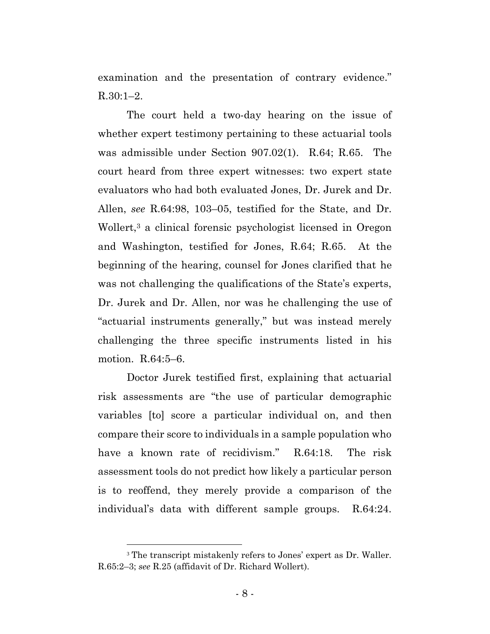examination and the presentation of contrary evidence."  $R.30:1-2.$ 

The court held a two-day hearing on the issue of whether expert testimony pertaining to these actuarial tools was admissible under Section 907.02(1). R.64; R.65. The court heard from three expert witnesses: two expert state evaluators who had both evaluated Jones, Dr. Jurek and Dr. Allen, *see* R.64:98, 103–05, testified for the State, and Dr. Wollert, <sup>3</sup> a clinical forensic psychologist licensed in Oregon and Washington, testified for Jones, R.64; R.65. At the beginning of the hearing, counsel for Jones clarified that he was not challenging the qualifications of the State's experts, Dr. Jurek and Dr. Allen, nor was he challenging the use of "actuarial instruments generally," but was instead merely challenging the three specific instruments listed in his motion. R.64:5–6.

Doctor Jurek testified first, explaining that actuarial risk assessments are "the use of particular demographic variables [to] score a particular individual on, and then compare their score to individuals in a sample population who have a known rate of recidivism." R.64:18. The risk assessment tools do not predict how likely a particular person is to reoffend, they merely provide a comparison of the individual's data with different sample groups. R.64:24.

<sup>3</sup> The transcript mistakenly refers to Jones' expert as Dr. Waller. R.65:2–3; *see* R.25 (affidavit of Dr. Richard Wollert).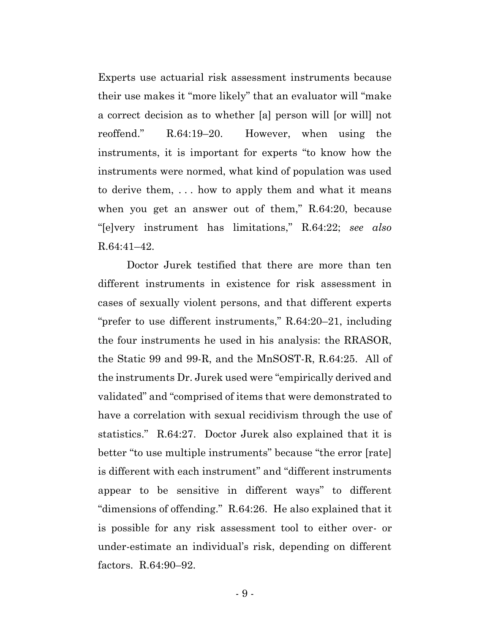Experts use actuarial risk assessment instruments because their use makes it "more likely" that an evaluator will "make a correct decision as to whether [a] person will [or will] not reoffend." R.64:19–20. However, when using the instruments, it is important for experts "to know how the instruments were normed, what kind of population was used to derive them, . . . how to apply them and what it means when you get an answer out of them," R.64:20, because "[e]very instrument has limitations," R.64:22; *see also*  R.64:41–42.

Doctor Jurek testified that there are more than ten different instruments in existence for risk assessment in cases of sexually violent persons, and that different experts "prefer to use different instruments," R.64:20–21, including the four instruments he used in his analysis: the RRASOR, the Static 99 and 99-R, and the MnSOST-R, R.64:25. All of the instruments Dr. Jurek used were "empirically derived and validated" and "comprised of items that were demonstrated to have a correlation with sexual recidivism through the use of statistics." R.64:27. Doctor Jurek also explained that it is better "to use multiple instruments" because "the error [rate] is different with each instrument" and "different instruments appear to be sensitive in different ways" to different "dimensions of offending." R.64:26. He also explained that it is possible for any risk assessment tool to either over- or under-estimate an individual's risk, depending on different factors. R.64:90–92.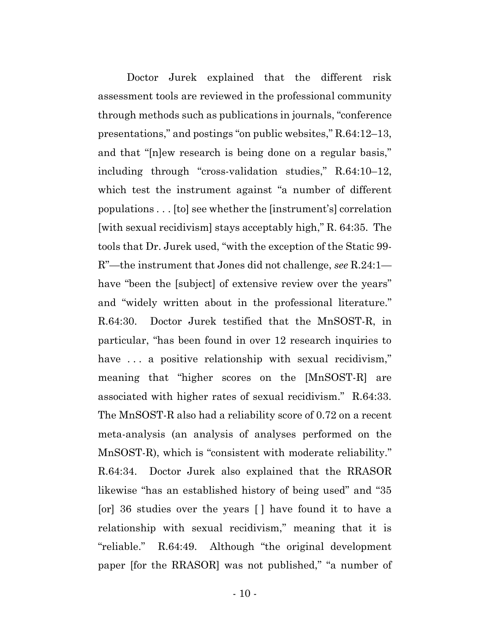Doctor Jurek explained that the different risk assessment tools are reviewed in the professional community through methods such as publications in journals, "conference presentations," and postings "on public websites," R.64:12–13, and that "[n]ew research is being done on a regular basis," including through "cross-validation studies," R.64:10–12, which test the instrument against "a number of different populations . . . [to] see whether the [instrument's] correlation [with sexual recidivism] stays acceptably high," R. 64:35. The tools that Dr. Jurek used, "with the exception of the Static 99- R"—the instrument that Jones did not challenge, *see* R.24:1 have "been the [subject] of extensive review over the years" and "widely written about in the professional literature." R.64:30. Doctor Jurek testified that the MnSOST-R, in particular, "has been found in over 12 research inquiries to have ... a positive relationship with sexual recidivism," meaning that "higher scores on the [MnSOST-R] are associated with higher rates of sexual recidivism." R.64:33. The MnSOST-R also had a reliability score of 0.72 on a recent meta-analysis (an analysis of analyses performed on the MnSOST-R), which is "consistent with moderate reliability." R.64:34. Doctor Jurek also explained that the RRASOR likewise "has an established history of being used" and "35 [or] 36 studies over the years [ ] have found it to have a relationship with sexual recidivism," meaning that it is "reliable." R.64:49. Although "the original development paper [for the RRASOR] was not published," "a number of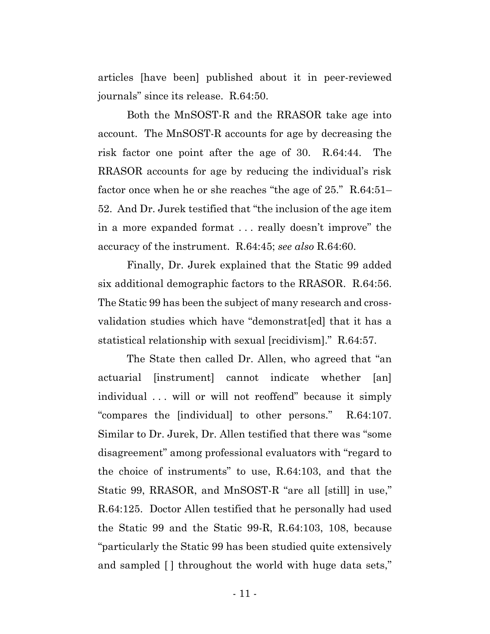articles [have been] published about it in peer-reviewed journals" since its release. R.64:50.

Both the MnSOST-R and the RRASOR take age into account. The MnSOST-R accounts for age by decreasing the risk factor one point after the age of 30. R.64:44. The RRASOR accounts for age by reducing the individual's risk factor once when he or she reaches "the age of 25." R.64:51– 52. And Dr. Jurek testified that "the inclusion of the age item in a more expanded format . . . really doesn't improve" the accuracy of the instrument. R.64:45; *see also* R.64:60.

Finally, Dr. Jurek explained that the Static 99 added six additional demographic factors to the RRASOR. R.64:56. The Static 99 has been the subject of many research and crossvalidation studies which have "demonstrat[ed] that it has a statistical relationship with sexual [recidivism]." R.64:57.

The State then called Dr. Allen, who agreed that "an actuarial [instrument] cannot indicate whether [an] individual ... will or will not reoffend" because it simply "compares the [individual] to other persons." R.64:107. Similar to Dr. Jurek, Dr. Allen testified that there was "some disagreement" among professional evaluators with "regard to the choice of instruments" to use, R.64:103, and that the Static 99, RRASOR, and MnSOST-R "are all [still] in use," R.64:125. Doctor Allen testified that he personally had used the Static 99 and the Static 99-R, R.64:103, 108, because "particularly the Static 99 has been studied quite extensively and sampled [ ] throughout the world with huge data sets,"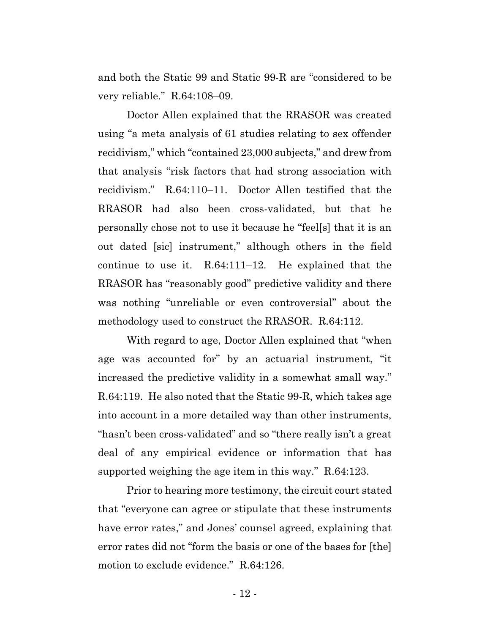and both the Static 99 and Static 99-R are "considered to be very reliable." R.64:108–09.

Doctor Allen explained that the RRASOR was created using "a meta analysis of 61 studies relating to sex offender recidivism," which "contained 23,000 subjects," and drew from that analysis "risk factors that had strong association with recidivism." R.64:110–11. Doctor Allen testified that the RRASOR had also been cross-validated, but that he personally chose not to use it because he "feel[s] that it is an out dated [sic] instrument," although others in the field continue to use it. R.64:111–12. He explained that the RRASOR has "reasonably good" predictive validity and there was nothing "unreliable or even controversial" about the methodology used to construct the RRASOR. R.64:112.

With regard to age, Doctor Allen explained that "when age was accounted for" by an actuarial instrument, "it increased the predictive validity in a somewhat small way." R.64:119. He also noted that the Static 99-R, which takes age into account in a more detailed way than other instruments, "hasn't been cross-validated" and so "there really isn't a great deal of any empirical evidence or information that has supported weighing the age item in this way." R.64:123.

Prior to hearing more testimony, the circuit court stated that "everyone can agree or stipulate that these instruments have error rates," and Jones' counsel agreed, explaining that error rates did not "form the basis or one of the bases for [the] motion to exclude evidence." R.64:126.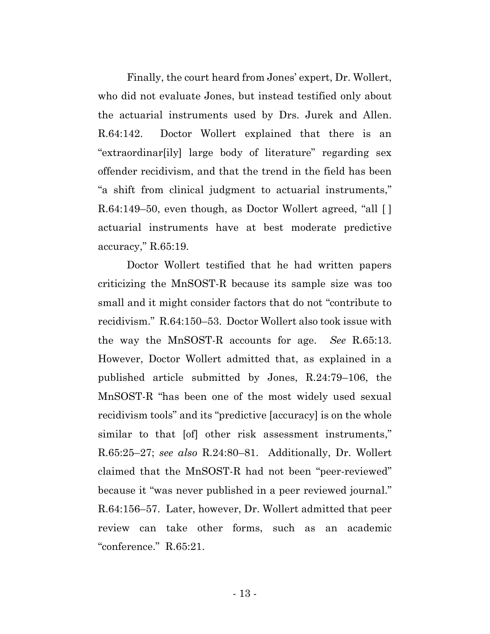Finally, the court heard from Jones' expert, Dr. Wollert, who did not evaluate Jones, but instead testified only about the actuarial instruments used by Drs. Jurek and Allen. R.64:142. Doctor Wollert explained that there is an "extraordinar[ily] large body of literature" regarding sex offender recidivism, and that the trend in the field has been "a shift from clinical judgment to actuarial instruments," R.64:149–50, even though, as Doctor Wollert agreed, "all [ ] actuarial instruments have at best moderate predictive accuracy," R.65:19.

Doctor Wollert testified that he had written papers criticizing the MnSOST-R because its sample size was too small and it might consider factors that do not "contribute to recidivism." R.64:150–53. Doctor Wollert also took issue with the way the MnSOST-R accounts for age. *See* R.65:13. However, Doctor Wollert admitted that, as explained in a published article submitted by Jones, R.24:79–106, the MnSOST-R "has been one of the most widely used sexual recidivism tools" and its "predictive [accuracy] is on the whole similar to that [of] other risk assessment instruments," R.65:25–27; *see also* R.24:80–81. Additionally, Dr. Wollert claimed that the MnSOST-R had not been "peer-reviewed" because it "was never published in a peer reviewed journal." R.64:156–57. Later, however, Dr. Wollert admitted that peer review can take other forms, such as an academic "conference." R.65:21.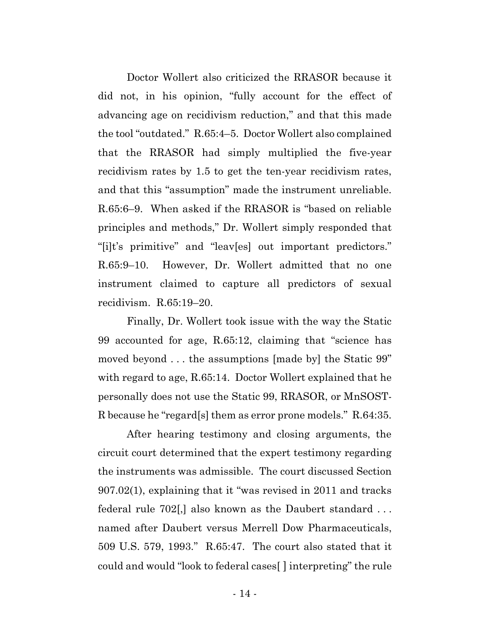Doctor Wollert also criticized the RRASOR because it did not, in his opinion, "fully account for the effect of advancing age on recidivism reduction," and that this made the tool "outdated." R.65:4–5. Doctor Wollert also complained that the RRASOR had simply multiplied the five-year recidivism rates by 1.5 to get the ten-year recidivism rates, and that this "assumption" made the instrument unreliable. R.65:6–9. When asked if the RRASOR is "based on reliable principles and methods," Dr. Wollert simply responded that "[i]t's primitive" and "leav[es] out important predictors." R.65:9–10. However, Dr. Wollert admitted that no one instrument claimed to capture all predictors of sexual recidivism. R.65:19–20.

Finally, Dr. Wollert took issue with the way the Static 99 accounted for age, R.65:12, claiming that "science has moved beyond . . . the assumptions [made by] the Static 99" with regard to age, R.65:14. Doctor Wollert explained that he personally does not use the Static 99, RRASOR, or MnSOST-R because he "regard[s] them as error prone models." R.64:35.

After hearing testimony and closing arguments, the circuit court determined that the expert testimony regarding the instruments was admissible. The court discussed Section 907.02(1), explaining that it "was revised in 2011 and tracks federal rule 702[,] also known as the Daubert standard . . . named after Daubert versus Merrell Dow Pharmaceuticals, 509 U.S. 579, 1993." R.65:47. The court also stated that it could and would "look to federal cases[ ] interpreting" the rule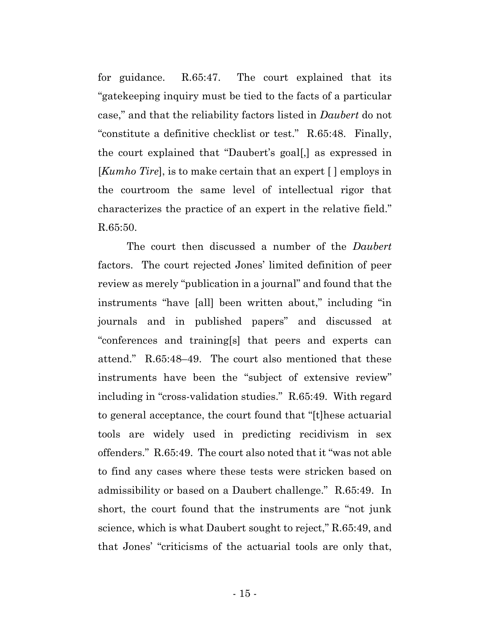for guidance. R.65:47. The court explained that its "gatekeeping inquiry must be tied to the facts of a particular case," and that the reliability factors listed in *Daubert* do not "constitute a definitive checklist or test." R.65:48. Finally, the court explained that "Daubert's goal[,] as expressed in [*Kumho Tire*], is to make certain that an expert [ ] employs in the courtroom the same level of intellectual rigor that characterizes the practice of an expert in the relative field." R.65:50.

The court then discussed a number of the *Daubert*  factors. The court rejected Jones' limited definition of peer review as merely "publication in a journal" and found that the instruments "have [all] been written about," including "in journals and in published papers" and discussed at "conferences and training[s] that peers and experts can attend." R.65:48–49. The court also mentioned that these instruments have been the "subject of extensive review" including in "cross-validation studies." R.65:49. With regard to general acceptance, the court found that "[t]hese actuarial tools are widely used in predicting recidivism in sex offenders." R.65:49. The court also noted that it "was not able to find any cases where these tests were stricken based on admissibility or based on a Daubert challenge." R.65:49. In short, the court found that the instruments are "not junk science, which is what Daubert sought to reject," R.65:49, and that Jones' "criticisms of the actuarial tools are only that,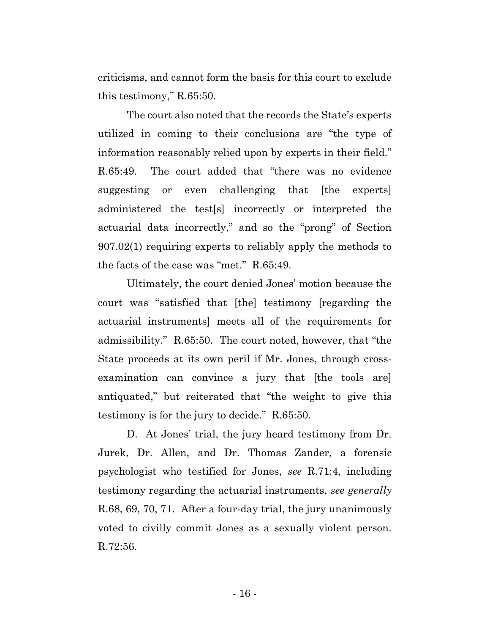criticisms, and cannot form the basis for this court to exclude this testimony," R.65:50.

The court also noted that the records the State's experts utilized in coming to their conclusions are "the type of information reasonably relied upon by experts in their field." R.65:49. The court added that "there was no evidence suggesting or even challenging that [the experts] administered the test[s] incorrectly or interpreted the actuarial data incorrectly," and so the "prong" of Section 907.02(1) requiring experts to reliably apply the methods to the facts of the case was "met." R.65:49.

Ultimately, the court denied Jones' motion because the court was "satisfied that [the] testimony [regarding the actuarial instruments] meets all of the requirements for admissibility." R.65:50. The court noted, however, that "the State proceeds at its own peril if Mr. Jones, through crossexamination can convince a jury that [the tools are] antiquated," but reiterated that "the weight to give this testimony is for the jury to decide." R.65:50.

D. At Jones' trial, the jury heard testimony from Dr. Jurek, Dr. Allen, and Dr. Thomas Zander, a forensic psychologist who testified for Jones, *see* R.71:4, including testimony regarding the actuarial instruments, *see generally* R.68, 69, 70, 71. After a four-day trial, the jury unanimously voted to civilly commit Jones as a sexually violent person. R.72:56.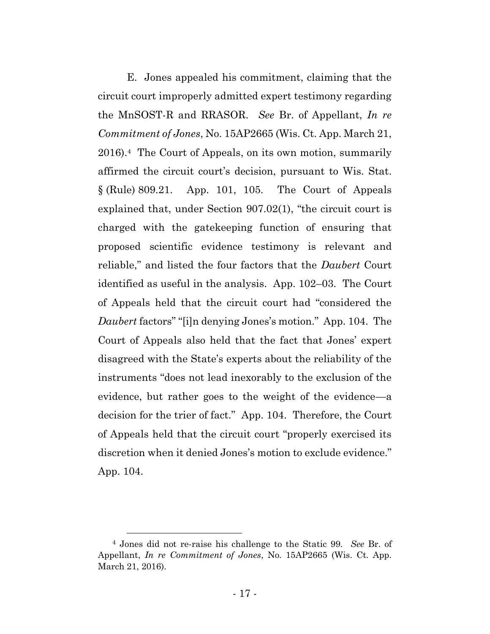E. Jones appealed his commitment, claiming that the circuit court improperly admitted expert testimony regarding the MnSOST-R and RRASOR. *See* Br. of Appellant, *In re Commitment of Jones*, No. 15AP2665 (Wis. Ct. App. March 21, 2016). <sup>4</sup> The Court of Appeals, on its own motion, summarily affirmed the circuit court's decision, pursuant to Wis. Stat. § (Rule) 809.21. App. 101, 105. The Court of Appeals explained that, under Section 907.02(1), "the circuit court is charged with the gatekeeping function of ensuring that proposed scientific evidence testimony is relevant and reliable," and listed the four factors that the *Daubert* Court identified as useful in the analysis. App. 102–03. The Court of Appeals held that the circuit court had "considered the *Daubert* factors" "[i]n denying Jones's motion." App. 104. The Court of Appeals also held that the fact that Jones' expert disagreed with the State's experts about the reliability of the instruments "does not lead inexorably to the exclusion of the evidence, but rather goes to the weight of the evidence—a decision for the trier of fact." App. 104. Therefore, the Court of Appeals held that the circuit court "properly exercised its discretion when it denied Jones's motion to exclude evidence." App. 104.

<sup>4</sup> Jones did not re-raise his challenge to the Static 99. *See* Br. of Appellant, *In re Commitment of Jones*, No. 15AP2665 (Wis. Ct. App. March 21, 2016).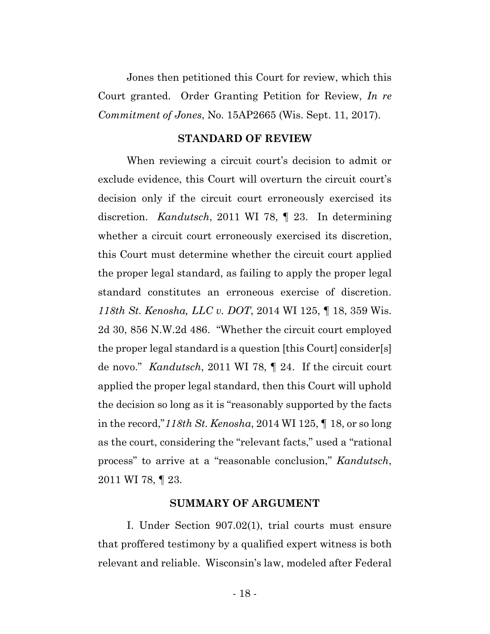Jones then petitioned this Court for review, which this Court granted. Order Granting Petition for Review, *In re Commitment of Jones*, No. 15AP2665 (Wis. Sept. 11, 2017).

#### **STANDARD OF REVIEW**

When reviewing a circuit court's decision to admit or exclude evidence, this Court will overturn the circuit court's decision only if the circuit court erroneously exercised its discretion. *Kandutsch*, 2011 WI 78, ¶ 23. In determining whether a circuit court erroneously exercised its discretion, this Court must determine whether the circuit court applied the proper legal standard, as failing to apply the proper legal standard constitutes an erroneous exercise of discretion. *118th St. Kenosha, LLC v. DOT*, 2014 WI 125, ¶ 18, 359 Wis. 2d 30, 856 N.W.2d 486. "Whether the circuit court employed the proper legal standard is a question [this Court] consider[s] de novo." *Kandutsch*, 2011 WI 78, ¶ 24.If the circuit court applied the proper legal standard, then this Court will uphold the decision so long as it is "reasonably supported by the facts in the record,"*118th St. Kenosha*, 2014 WI 125, ¶ 18, or so long as the court, considering the "relevant facts," used a "rational process" to arrive at a "reasonable conclusion," *Kandutsch*, 2011 WI 78, ¶ 23.

#### **SUMMARY OF ARGUMENT**

I. Under Section 907.02(1), trial courts must ensure that proffered testimony by a qualified expert witness is both relevant and reliable. Wisconsin's law, modeled after Federal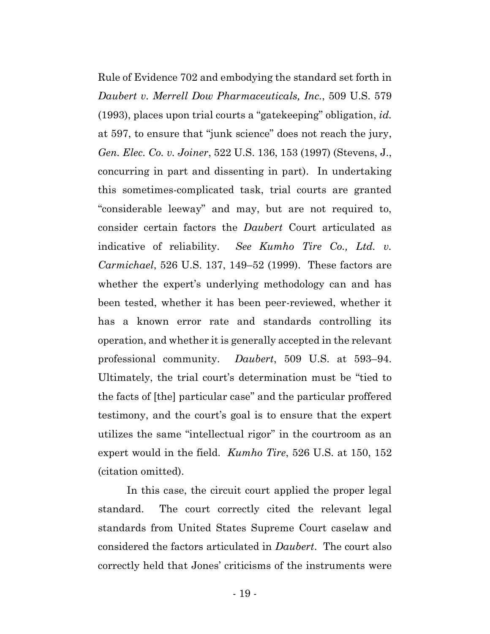Rule of Evidence 702 and embodying the standard set forth in *Daubert v. Merrell Dow Pharmaceuticals, Inc.*, 509 U.S. 579 (1993), places upon trial courts a "gatekeeping" obligation, *id.*  at 597, to ensure that "junk science" does not reach the jury, *Gen. Elec. Co. v. Joiner*, 522 U.S. 136, 153 (1997) (Stevens, J., concurring in part and dissenting in part). In undertaking this sometimes-complicated task, trial courts are granted "considerable leeway" and may, but are not required to, consider certain factors the *Daubert* Court articulated as indicative of reliability. *See Kumho Tire Co., Ltd. v. Carmichael*, 526 U.S. 137, 149–52 (1999). These factors are whether the expert's underlying methodology can and has been tested, whether it has been peer-reviewed, whether it has a known error rate and standards controlling its operation, and whether it is generally accepted in the relevant professional community. *Daubert*, 509 U.S. at 593–94. Ultimately, the trial court's determination must be "tied to the facts of [the] particular case" and the particular proffered testimony, and the court's goal is to ensure that the expert utilizes the same "intellectual rigor" in the courtroom as an expert would in the field. *Kumho Tire*, 526 U.S. at 150, 152 (citation omitted).

In this case, the circuit court applied the proper legal standard. The court correctly cited the relevant legal standards from United States Supreme Court caselaw and considered the factors articulated in *Daubert*. The court also correctly held that Jones' criticisms of the instruments were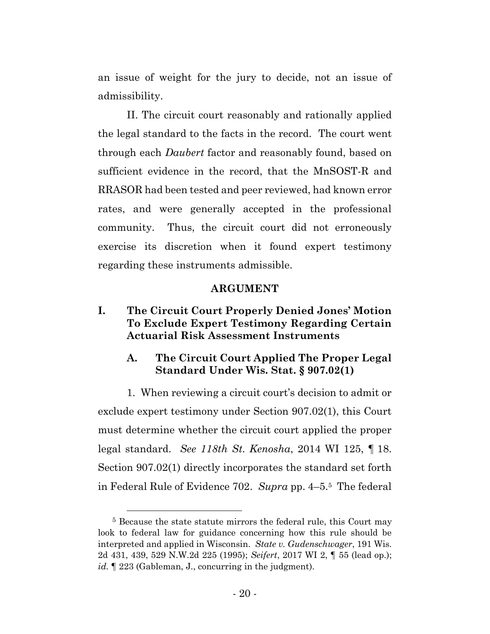an issue of weight for the jury to decide, not an issue of admissibility.

II. The circuit court reasonably and rationally applied the legal standard to the facts in the record. The court went through each *Daubert* factor and reasonably found, based on sufficient evidence in the record, that the MnSOST-R and RRASOR had been tested and peer reviewed, had known error rates, and were generally accepted in the professional community. Thus, the circuit court did not erroneously exercise its discretion when it found expert testimony regarding these instruments admissible.

### **ARGUMENT**

# **I. The Circuit Court Properly Denied Jones' Motion To Exclude Expert Testimony Regarding Certain Actuarial Risk Assessment Instruments**

# **A. The Circuit Court Applied The Proper Legal Standard Under Wis. Stat. § 907.02(1)**

1. When reviewing a circuit court's decision to admit or exclude expert testimony under Section 907.02(1), this Court must determine whether the circuit court applied the proper legal standard. *See 118th St. Kenosha*, 2014 WI 125, ¶ 18. Section 907.02(1) directly incorporates the standard set forth in Federal Rule of Evidence 702. *Supra* pp. 4–5. <sup>5</sup> The federal

<sup>&</sup>lt;sup>5</sup> Because the state statute mirrors the federal rule, this Court may look to federal law for guidance concerning how this rule should be interpreted and applied in Wisconsin. *State v. Gudenschwager*, 191 Wis. 2d 431, 439, 529 N.W.2d 225 (1995); *Seifert*, 2017 WI 2, ¶ 55 (lead op.); id.  $\parallel$  223 (Gableman, J., concurring in the judgment).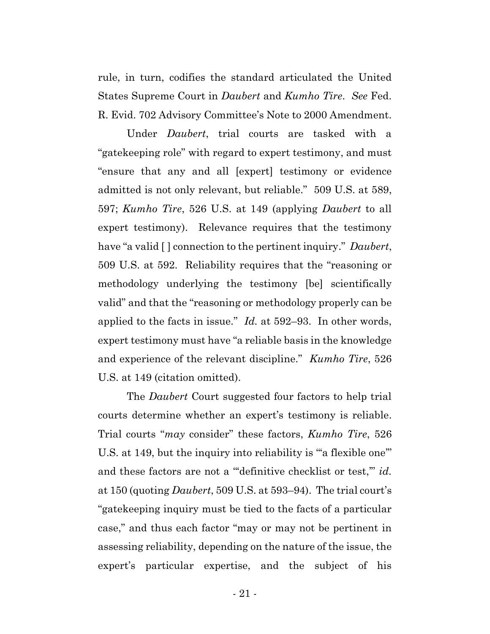rule, in turn, codifies the standard articulated the United States Supreme Court in *Daubert* and *Kumho Tire*. *See* Fed. R. Evid. 702 Advisory Committee's Note to 2000 Amendment.

Under *Daubert*, trial courts are tasked with a "gatekeeping role" with regard to expert testimony, and must "ensure that any and all [expert] testimony or evidence admitted is not only relevant, but reliable." 509 U.S. at 589, 597; *Kumho Tire*, 526 U.S. at 149 (applying *Daubert* to all expert testimony). Relevance requires that the testimony have "a valid [ ] connection to the pertinent inquiry." *Daubert*, 509 U.S. at 592. Reliability requires that the "reasoning or methodology underlying the testimony [be] scientifically valid" and that the "reasoning or methodology properly can be applied to the facts in issue." *Id.* at 592–93. In other words, expert testimony must have "a reliable basis in the knowledge and experience of the relevant discipline." *Kumho Tire*, 526 U.S. at 149 (citation omitted).

The *Daubert* Court suggested four factors to help trial courts determine whether an expert's testimony is reliable. Trial courts "*may* consider" these factors, *Kumho Tire*, 526 U.S. at 149, but the inquiry into reliability is "a flexible one" and these factors are not a "definitive checklist or test," *id.* at 150 (quoting *Daubert*, 509 U.S. at 593–94). The trial court's "gatekeeping inquiry must be tied to the facts of a particular case," and thus each factor "may or may not be pertinent in assessing reliability, depending on the nature of the issue, the expert's particular expertise, and the subject of his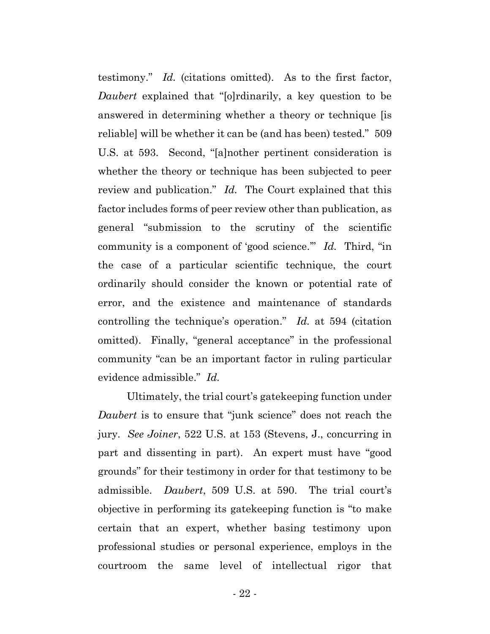testimony." *Id.* (citations omitted). As to the first factor, *Daubert* explained that "[o]rdinarily, a key question to be answered in determining whether a theory or technique [is reliable] will be whether it can be (and has been) tested." 509 U.S. at 593. Second, "[a]nother pertinent consideration is whether the theory or technique has been subjected to peer review and publication." *Id.* The Court explained that this factor includes forms of peer review other than publication, as general "submission to the scrutiny of the scientific community is a component of 'good science.'" *Id.* Third, "in the case of a particular scientific technique, the court ordinarily should consider the known or potential rate of error, and the existence and maintenance of standards controlling the technique's operation." *Id.* at 594 (citation omitted). Finally, "general acceptance" in the professional community "can be an important factor in ruling particular evidence admissible." *Id.*

Ultimately, the trial court's gatekeeping function under *Daubert* is to ensure that "junk science" does not reach the jury. *See Joiner*, 522 U.S. at 153 (Stevens, J., concurring in part and dissenting in part). An expert must have "good grounds" for their testimony in order for that testimony to be admissible. *Daubert*, 509 U.S. at 590. The trial court's objective in performing its gatekeeping function is "to make certain that an expert, whether basing testimony upon professional studies or personal experience, employs in the courtroom the same level of intellectual rigor that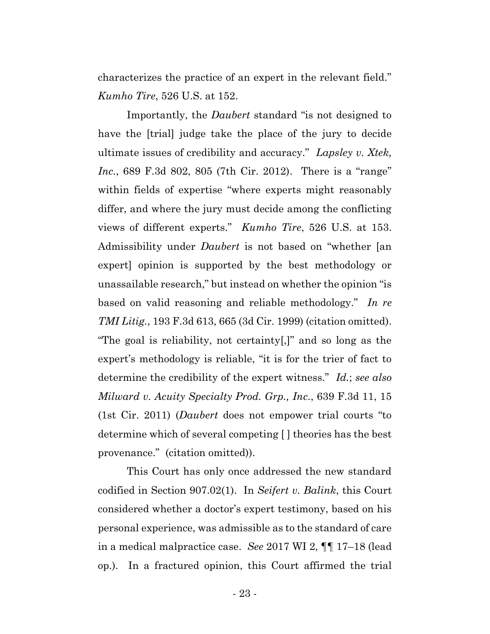characterizes the practice of an expert in the relevant field." *Kumho Tire*, 526 U.S. at 152.

Importantly, the *Daubert* standard "is not designed to have the [trial] judge take the place of the jury to decide ultimate issues of credibility and accuracy." *Lapsley v. Xtek, Inc.*, 689 F.3d 802, 805 (7th Cir. 2012). There is a "range" within fields of expertise "where experts might reasonably differ, and where the jury must decide among the conflicting views of different experts." *Kumho Tire*, 526 U.S. at 153. Admissibility under *Daubert* is not based on "whether [an expert] opinion is supported by the best methodology or unassailable research," but instead on whether the opinion "is based on valid reasoning and reliable methodology." *In re TMI Litig.*, 193 F.3d 613, 665 (3d Cir. 1999) (citation omitted). "The goal is reliability, not certainty[,]" and so long as the expert's methodology is reliable, "it is for the trier of fact to determine the credibility of the expert witness." *Id.*; *see also Milward v. Acuity Specialty Prod. Grp., Inc.*, 639 F.3d 11, 15 (1st Cir. 2011) (*Daubert* does not empower trial courts "to determine which of several competing [ ] theories has the best provenance." (citation omitted)).

This Court has only once addressed the new standard codified in Section 907.02(1). In *Seifert v. Balink*, this Court considered whether a doctor's expert testimony, based on his personal experience, was admissible as to the standard of care in a medical malpractice case. *See* 2017 WI 2, ¶¶ 17–18 (lead op.). In a fractured opinion, this Court affirmed the trial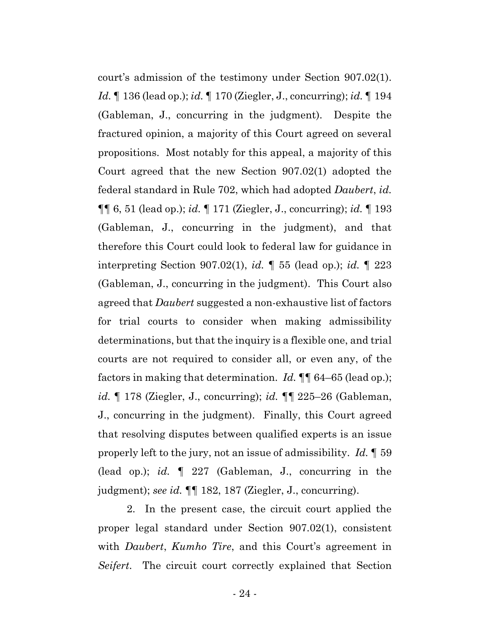court's admission of the testimony under Section 907.02(1). *Id.* ¶ 136 (lead op.); *id.* ¶ 170 (Ziegler, J., concurring); *id.* ¶ 194 (Gableman, J., concurring in the judgment). Despite the fractured opinion, a majority of this Court agreed on several propositions. Most notably for this appeal, a majority of this Court agreed that the new Section 907.02(1) adopted the federal standard in Rule 702, which had adopted *Daubert*, *id.*  ¶¶ 6, 51 (lead op.); *id.* ¶ 171 (Ziegler, J., concurring); *id.* ¶ 193 (Gableman, J., concurring in the judgment), and that therefore this Court could look to federal law for guidance in interpreting Section 907.02(1), *id.* ¶ 55 (lead op.); *id.* ¶ 223 (Gableman, J., concurring in the judgment). This Court also agreed that *Daubert* suggested a non-exhaustive list of factors for trial courts to consider when making admissibility determinations, but that the inquiry is a flexible one, and trial courts are not required to consider all, or even any, of the factors in making that determination. *Id.* ¶¶ 64–65 (lead op.); *id.* ¶ 178 (Ziegler, J., concurring); *id.* ¶¶ 225–26 (Gableman, J., concurring in the judgment). Finally, this Court agreed that resolving disputes between qualified experts is an issue properly left to the jury, not an issue of admissibility. *Id.* ¶ 59 (lead op.); *id.* ¶ 227 (Gableman, J., concurring in the judgment); *see id.* ¶¶ 182, 187 (Ziegler, J., concurring).

2. In the present case, the circuit court applied the proper legal standard under Section 907.02(1), consistent with *Daubert*, *Kumho Tire*, and this Court's agreement in *Seifert*. The circuit court correctly explained that Section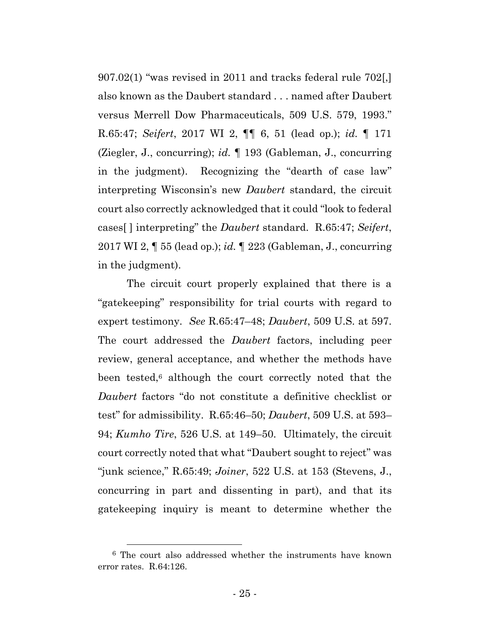907.02(1) "was revised in 2011 and tracks federal rule 702[,] also known as the Daubert standard . . . named after Daubert versus Merrell Dow Pharmaceuticals, 509 U.S. 579, 1993." R.65:47; *Seifert*, 2017 WI 2, ¶¶ 6, 51 (lead op.); *id.* ¶ 171 (Ziegler, J., concurring); *id.* ¶ 193 (Gableman, J., concurring in the judgment). Recognizing the "dearth of case law" interpreting Wisconsin's new *Daubert* standard, the circuit court also correctly acknowledged that it could "look to federal cases[ ] interpreting" the *Daubert* standard. R.65:47; *Seifert*, 2017 WI 2, ¶ 55 (lead op.); *id.* ¶ 223 (Gableman, J., concurring in the judgment).

The circuit court properly explained that there is a "gatekeeping" responsibility for trial courts with regard to expert testimony. *See* R.65:47–48; *Daubert*, 509 U.S. at 597. The court addressed the *Daubert* factors, including peer review, general acceptance, and whether the methods have been tested, <sup>6</sup> although the court correctly noted that the *Daubert* factors "do not constitute a definitive checklist or test" for admissibility. R.65:46–50; *Daubert*, 509 U.S. at 593– 94; *Kumho Tire*, 526 U.S. at 149–50. Ultimately, the circuit court correctly noted that what "Daubert sought to reject" was "junk science," R.65:49; *Joiner*, 522 U.S. at 153 (Stevens, J., concurring in part and dissenting in part), and that its gatekeeping inquiry is meant to determine whether the

<sup>6</sup> The court also addressed whether the instruments have known error rates. R.64:126.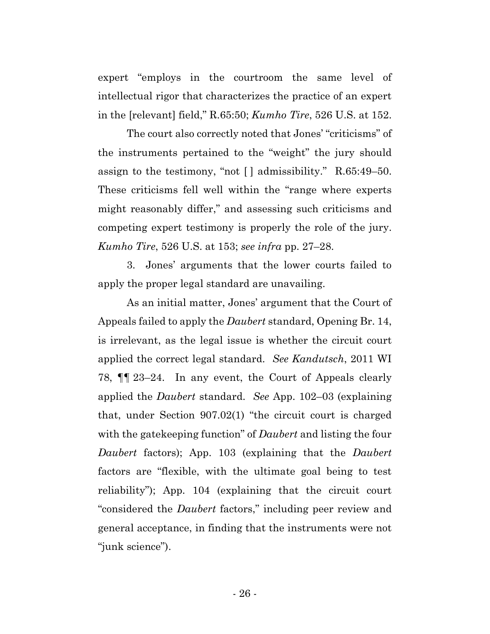expert "employs in the courtroom the same level of intellectual rigor that characterizes the practice of an expert in the [relevant] field," R.65:50; *Kumho Tire*, 526 U.S. at 152.

The court also correctly noted that Jones' "criticisms" of the instruments pertained to the "weight" the jury should assign to the testimony, "not [ ] admissibility." R.65:49–50. These criticisms fell well within the "range where experts might reasonably differ," and assessing such criticisms and competing expert testimony is properly the role of the jury. *Kumho Tire*, 526 U.S. at 153; *see infra* pp. 27–28.

3. Jones' arguments that the lower courts failed to apply the proper legal standard are unavailing.

As an initial matter, Jones' argument that the Court of Appeals failed to apply the *Daubert* standard, Opening Br. 14, is irrelevant, as the legal issue is whether the circuit court applied the correct legal standard. *See Kandutsch*, 2011 WI 78, ¶¶ 23–24. In any event, the Court of Appeals clearly applied the *Daubert* standard. *See* App. 102–03 (explaining that, under Section 907.02(1) "the circuit court is charged with the gatekeeping function" of *Daubert* and listing the four *Daubert* factors); App. 103 (explaining that the *Daubert*  factors are "flexible, with the ultimate goal being to test reliability"); App. 104 (explaining that the circuit court "considered the *Daubert* factors," including peer review and general acceptance, in finding that the instruments were not "junk science").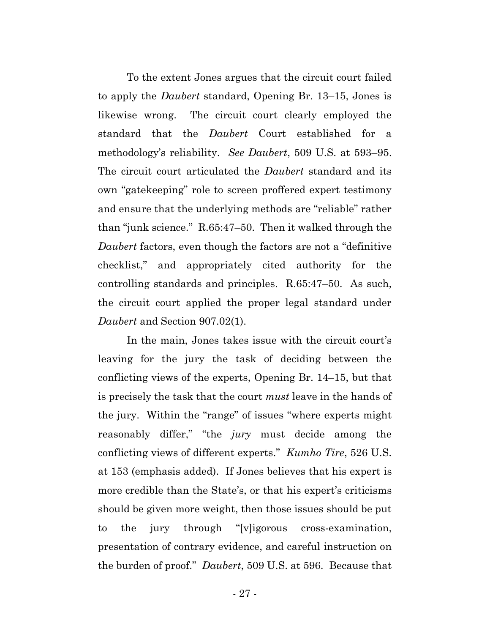To the extent Jones argues that the circuit court failed to apply the *Daubert* standard, Opening Br. 13–15, Jones is likewise wrong. The circuit court clearly employed the standard that the *Daubert* Court established for a methodology's reliability. *See Daubert*, 509 U.S. at 593–95. The circuit court articulated the *Daubert* standard and its own "gatekeeping" role to screen proffered expert testimony and ensure that the underlying methods are "reliable" rather than "junk science." R.65:47–50. Then it walked through the *Daubert* factors, even though the factors are not a "definitive checklist," and appropriately cited authority for the controlling standards and principles. R.65:47–50. As such, the circuit court applied the proper legal standard under *Daubert* and Section 907.02(1).

In the main, Jones takes issue with the circuit court's leaving for the jury the task of deciding between the conflicting views of the experts, Opening Br. 14–15, but that is precisely the task that the court *must* leave in the hands of the jury. Within the "range" of issues "where experts might reasonably differ," "the *jury* must decide among the conflicting views of different experts." *Kumho Tire*, 526 U.S. at 153 (emphasis added). If Jones believes that his expert is more credible than the State's, or that his expert's criticisms should be given more weight, then those issues should be put to the jury through "[v]igorous cross-examination, presentation of contrary evidence, and careful instruction on the burden of proof." *Daubert*, 509 U.S. at 596. Because that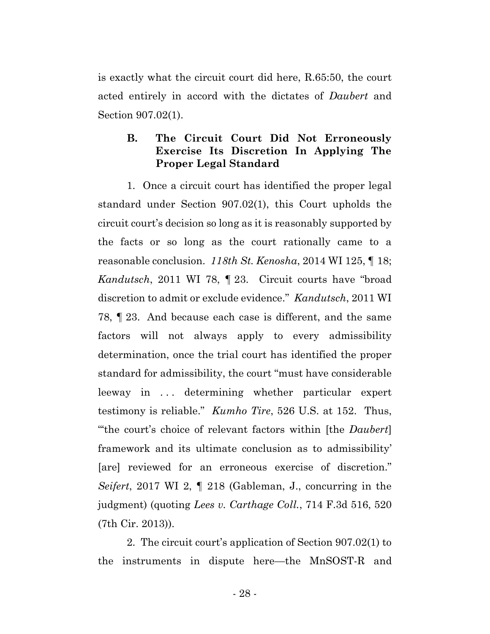is exactly what the circuit court did here, R.65:50, the court acted entirely in accord with the dictates of *Daubert* and Section 907.02(1).

### **B. The Circuit Court Did Not Erroneously Exercise Its Discretion In Applying The Proper Legal Standard**

1. Once a circuit court has identified the proper legal standard under Section 907.02(1), this Court upholds the circuit court's decision so long as it is reasonably supported by the facts or so long as the court rationally came to a reasonable conclusion. *118th St. Kenosha*, 2014 WI 125, ¶ 18; *Kandutsch*, 2011 WI 78, ¶ 23. Circuit courts have "broad discretion to admit or exclude evidence." *Kandutsch*, 2011 WI 78, ¶ 23. And because each case is different, and the same factors will not always apply to every admissibility determination, once the trial court has identified the proper standard for admissibility, the court "must have considerable leeway in ... determining whether particular expert testimony is reliable." *Kumho Tire*, 526 U.S. at 152. Thus, "'the court's choice of relevant factors within [the *Daubert*] framework and its ultimate conclusion as to admissibility' [are] reviewed for an erroneous exercise of discretion." *Seifert*, 2017 WI 2, ¶ 218 (Gableman, J., concurring in the judgment) (quoting *Lees v. Carthage Coll.*, 714 F.3d 516, 520 (7th Cir. 2013)).

2. The circuit court's application of Section 907.02(1) to the instruments in dispute here—the MnSOST-R and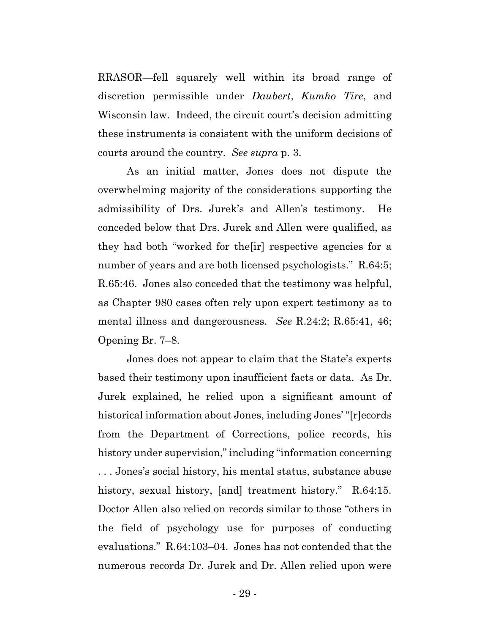RRASOR—fell squarely well within its broad range of discretion permissible under *Daubert*, *Kumho Tire*, and Wisconsin law. Indeed, the circuit court's decision admitting these instruments is consistent with the uniform decisions of courts around the country. *See supra* p. 3.

As an initial matter, Jones does not dispute the overwhelming majority of the considerations supporting the admissibility of Drs. Jurek's and Allen's testimony. He conceded below that Drs. Jurek and Allen were qualified, as they had both "worked for the[ir] respective agencies for a number of years and are both licensed psychologists." R.64:5; R.65:46. Jones also conceded that the testimony was helpful, as Chapter 980 cases often rely upon expert testimony as to mental illness and dangerousness. *See* R.24:2; R.65:41, 46; Opening Br. 7–8.

Jones does not appear to claim that the State's experts based their testimony upon insufficient facts or data. As Dr. Jurek explained, he relied upon a significant amount of historical information about Jones, including Jones' "[r]ecords from the Department of Corrections, police records, his history under supervision," including "information concerning . . . Jones's social history, his mental status, substance abuse history, sexual history, [and] treatment history." R.64:15. Doctor Allen also relied on records similar to those "others in the field of psychology use for purposes of conducting evaluations." R.64:103–04. Jones has not contended that the numerous records Dr. Jurek and Dr. Allen relied upon were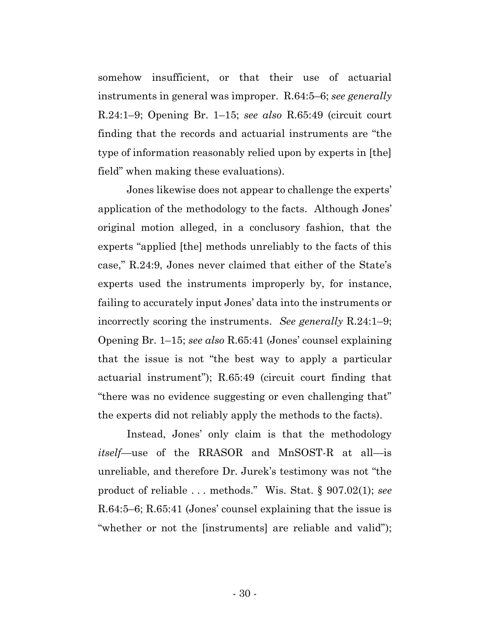somehow insufficient, or that their use of actuarial instruments in general was improper. R.64:5–6; *see generally*  R.24:1–9; Opening Br. 1–15; *see also* R.65:49 (circuit court finding that the records and actuarial instruments are "the type of information reasonably relied upon by experts in [the] field" when making these evaluations).

Jones likewise does not appear to challenge the experts' application of the methodology to the facts. Although Jones' original motion alleged, in a conclusory fashion, that the experts "applied [the] methods unreliably to the facts of this case," R.24:9, Jones never claimed that either of the State's experts used the instruments improperly by, for instance, failing to accurately input Jones' data into the instruments or incorrectly scoring the instruments. *See generally* R.24:1–9; Opening Br. 1–15; *see also* R.65:41 (Jones' counsel explaining that the issue is not "the best way to apply a particular actuarial instrument"); R.65:49 (circuit court finding that "there was no evidence suggesting or even challenging that" the experts did not reliably apply the methods to the facts).

Instead, Jones' only claim is that the methodology *itself*—use of the RRASOR and MnSOST-R at all—is unreliable, and therefore Dr. Jurek's testimony was not "the product of reliable . . . methods." Wis. Stat. § 907.02(1); *see*  R.64:5–6; R.65:41 (Jones' counsel explaining that the issue is "whether or not the [instruments] are reliable and valid");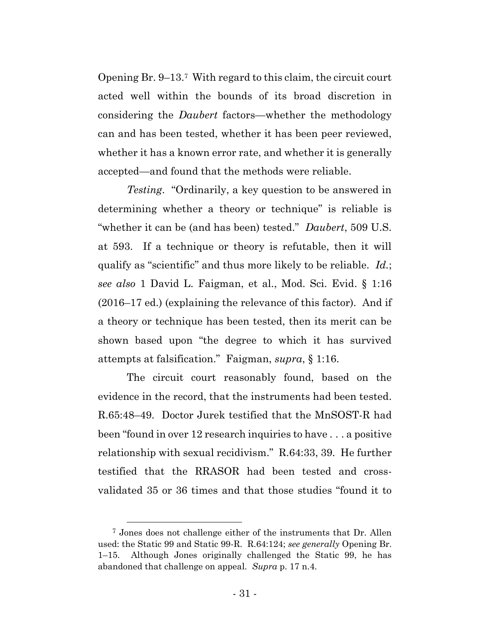Opening Br. 9–13. <sup>7</sup> With regard to this claim, the circuit court acted well within the bounds of its broad discretion in considering the *Daubert* factors—whether the methodology can and has been tested, whether it has been peer reviewed, whether it has a known error rate, and whether it is generally accepted—and found that the methods were reliable.

*Testing*. "Ordinarily, a key question to be answered in determining whether a theory or technique" is reliable is "whether it can be (and has been) tested." *Daubert*, 509 U.S. at 593. If a technique or theory is refutable, then it will qualify as "scientific" and thus more likely to be reliable. *Id.*; *see also* 1 David L. Faigman, et al., Mod. Sci. Evid. § 1:16 (2016–17 ed.) (explaining the relevance of this factor). And if a theory or technique has been tested, then its merit can be shown based upon "the degree to which it has survived attempts at falsification." Faigman, *supra*, § 1:16.

The circuit court reasonably found, based on the evidence in the record, that the instruments had been tested. R.65:48–49. Doctor Jurek testified that the MnSOST-R had been "found in over 12 research inquiries to have . . . a positive relationship with sexual recidivism." R.64:33, 39. He further testified that the RRASOR had been tested and crossvalidated 35 or 36 times and that those studies "found it to

<sup>7</sup> Jones does not challenge either of the instruments that Dr. Allen used: the Static 99 and Static 99-R. R.64:124; *see generally* Opening Br. 1–15. Although Jones originally challenged the Static 99, he has abandoned that challenge on appeal. *Supra* p. 17 n.4.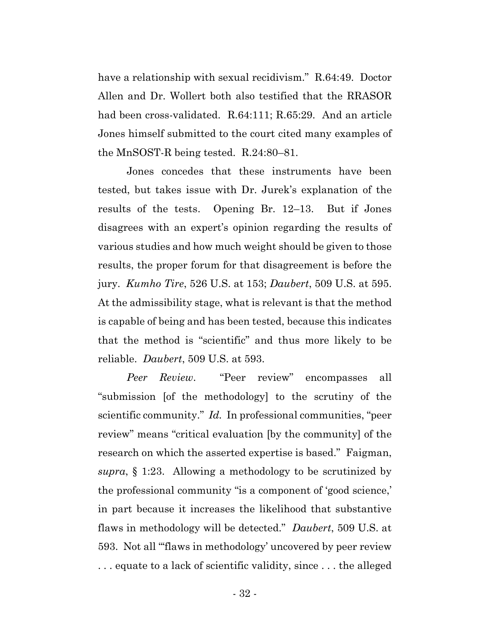have a relationship with sexual recidivism." R.64:49. Doctor Allen and Dr. Wollert both also testified that the RRASOR had been cross-validated. R.64:111; R.65:29. And an article Jones himself submitted to the court cited many examples of the MnSOST-R being tested. R.24:80–81.

Jones concedes that these instruments have been tested, but takes issue with Dr. Jurek's explanation of the results of the tests. Opening Br. 12–13. But if Jones disagrees with an expert's opinion regarding the results of various studies and how much weight should be given to those results, the proper forum for that disagreement is before the jury. *Kumho Tire*, 526 U.S. at 153; *Daubert*, 509 U.S. at 595. At the admissibility stage, what is relevant is that the method is capable of being and has been tested, because this indicates that the method is "scientific" and thus more likely to be reliable. *Daubert*, 509 U.S. at 593.

*Peer Review*. "Peer review" encompasses all "submission [of the methodology] to the scrutiny of the scientific community." *Id.* In professional communities, "peer review" means "critical evaluation [by the community] of the research on which the asserted expertise is based." Faigman, *supra*, § 1:23. Allowing a methodology to be scrutinized by the professional community "is a component of 'good science,' in part because it increases the likelihood that substantive flaws in methodology will be detected." *Daubert*, 509 U.S. at 593. Not all "'flaws in methodology' uncovered by peer review . . . equate to a lack of scientific validity, since . . . the alleged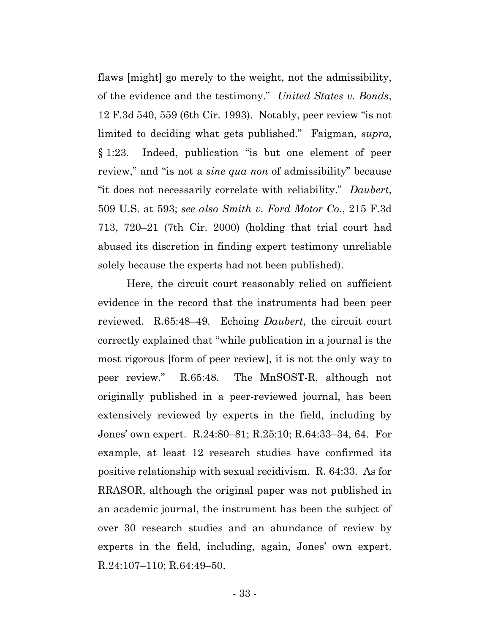flaws [might] go merely to the weight, not the admissibility, of the evidence and the testimony." *United States v. Bonds*, 12 F.3d 540, 559 (6th Cir. 1993). Notably, peer review "is not limited to deciding what gets published." Faigman, *supra*, § 1:23. Indeed, publication "is but one element of peer review," and "is not a *sine qua non* of admissibility" because "it does not necessarily correlate with reliability." *Daubert*, 509 U.S. at 593; *see also Smith v. Ford Motor Co.*, 215 F.3d 713, 720–21 (7th Cir. 2000) (holding that trial court had abused its discretion in finding expert testimony unreliable solely because the experts had not been published).

Here, the circuit court reasonably relied on sufficient evidence in the record that the instruments had been peer reviewed. R.65:48–49. Echoing *Daubert*, the circuit court correctly explained that "while publication in a journal is the most rigorous [form of peer review], it is not the only way to peer review." R.65:48. The MnSOST-R, although not originally published in a peer-reviewed journal, has been extensively reviewed by experts in the field, including by Jones' own expert. R.24:80–81; R.25:10; R.64:33–34, 64. For example, at least 12 research studies have confirmed its positive relationship with sexual recidivism. R. 64:33. As for RRASOR, although the original paper was not published in an academic journal, the instrument has been the subject of over 30 research studies and an abundance of review by experts in the field, including, again, Jones' own expert. R.24:107–110; R.64:49–50.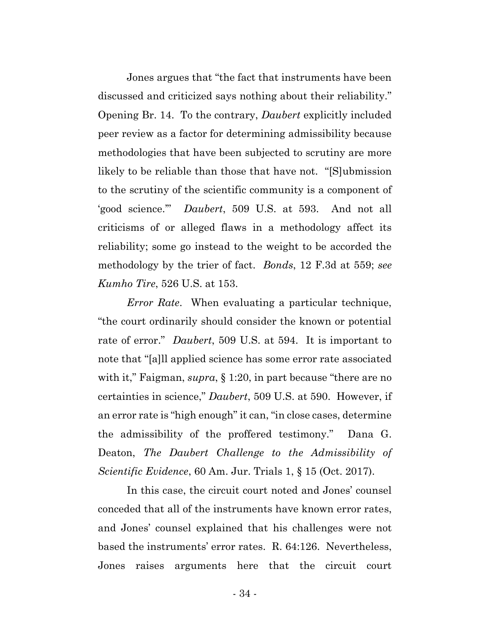Jones argues that "the fact that instruments have been discussed and criticized says nothing about their reliability." Opening Br. 14. To the contrary, *Daubert* explicitly included peer review as a factor for determining admissibility because methodologies that have been subjected to scrutiny are more likely to be reliable than those that have not. "[S]ubmission to the scrutiny of the scientific community is a component of 'good science.'" *Daubert*, 509 U.S. at 593. And not all criticisms of or alleged flaws in a methodology affect its reliability; some go instead to the weight to be accorded the methodology by the trier of fact. *Bonds*, 12 F.3d at 559; *see Kumho Tire*, 526 U.S. at 153.

*Error Rate*. When evaluating a particular technique, "the court ordinarily should consider the known or potential rate of error." *Daubert*, 509 U.S. at 594. It is important to note that "[a]ll applied science has some error rate associated with it," Faigman, *supra*, § 1:20, in part because "there are no certainties in science," *Daubert*, 509 U.S. at 590. However, if an error rate is "high enough" it can, "in close cases, determine the admissibility of the proffered testimony." Dana G. Deaton, *The Daubert Challenge to the Admissibility of Scientific Evidence*, 60 Am. Jur. Trials 1, § 15 (Oct. 2017).

In this case, the circuit court noted and Jones' counsel conceded that all of the instruments have known error rates, and Jones' counsel explained that his challenges were not based the instruments' error rates. R. 64:126. Nevertheless, Jones raises arguments here that the circuit court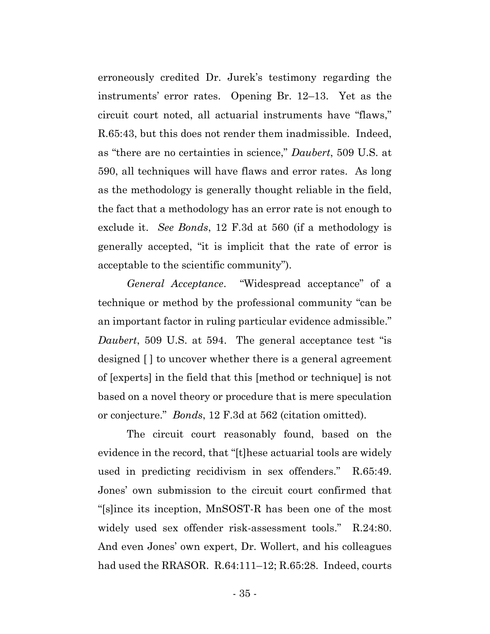erroneously credited Dr. Jurek's testimony regarding the instruments' error rates. Opening Br. 12–13. Yet as the circuit court noted, all actuarial instruments have "flaws," R.65:43, but this does not render them inadmissible. Indeed, as "there are no certainties in science," *Daubert*, 509 U.S. at 590, all techniques will have flaws and error rates. As long as the methodology is generally thought reliable in the field, the fact that a methodology has an error rate is not enough to exclude it. *See Bonds*, 12 F.3d at 560 (if a methodology is generally accepted, "it is implicit that the rate of error is acceptable to the scientific community").

*General Acceptance*. "Widespread acceptance" of a technique or method by the professional community "can be an important factor in ruling particular evidence admissible." *Daubert*, 509 U.S. at 594. The general acceptance test "is designed [ ] to uncover whether there is a general agreement of [experts] in the field that this [method or technique] is not based on a novel theory or procedure that is mere speculation or conjecture." *Bonds*, 12 F.3d at 562 (citation omitted).

The circuit court reasonably found, based on the evidence in the record, that "[t]hese actuarial tools are widely used in predicting recidivism in sex offenders." R.65:49. Jones' own submission to the circuit court confirmed that "[s]ince its inception, MnSOST-R has been one of the most widely used sex offender risk-assessment tools." R.24:80. And even Jones' own expert, Dr. Wollert, and his colleagues had used the RRASOR. R.64:111-12; R.65:28. Indeed, courts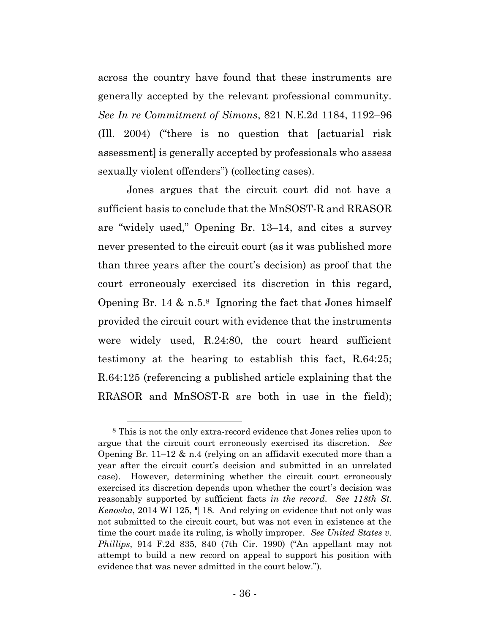across the country have found that these instruments are generally accepted by the relevant professional community. *See In re Commitment of Simons*, 821 N.E.2d 1184, 1192–96 (Ill. 2004) ("there is no question that [actuarial risk assessment] is generally accepted by professionals who assess sexually violent offenders") (collecting cases).

Jones argues that the circuit court did not have a sufficient basis to conclude that the MnSOST-R and RRASOR are "widely used," Opening Br. 13–14, and cites a survey never presented to the circuit court (as it was published more than three years after the court's decision) as proof that the court erroneously exercised its discretion in this regard, Opening Br. 14  $\&$  n.5.<sup>8</sup> Ignoring the fact that Jones himself provided the circuit court with evidence that the instruments were widely used, R.24:80, the court heard sufficient testimony at the hearing to establish this fact, R.64:25; R.64:125 (referencing a published article explaining that the RRASOR and MnSOST-R are both in use in the field);

<sup>8</sup> This is not the only extra-record evidence that Jones relies upon to argue that the circuit court erroneously exercised its discretion. *See*  Opening Br.  $11-12 \& n.4$  (relying on an affidavit executed more than a year after the circuit court's decision and submitted in an unrelated case). However, determining whether the circuit court erroneously exercised its discretion depends upon whether the court's decision was reasonably supported by sufficient facts *in the record*. *See 118th St. Kenosha*, 2014 WI 125, ¶ 18. And relying on evidence that not only was not submitted to the circuit court, but was not even in existence at the time the court made its ruling, is wholly improper. *See United States v. Phillips*, 914 F.2d 835, 840 (7th Cir. 1990) ("An appellant may not attempt to build a new record on appeal to support his position with evidence that was never admitted in the court below.").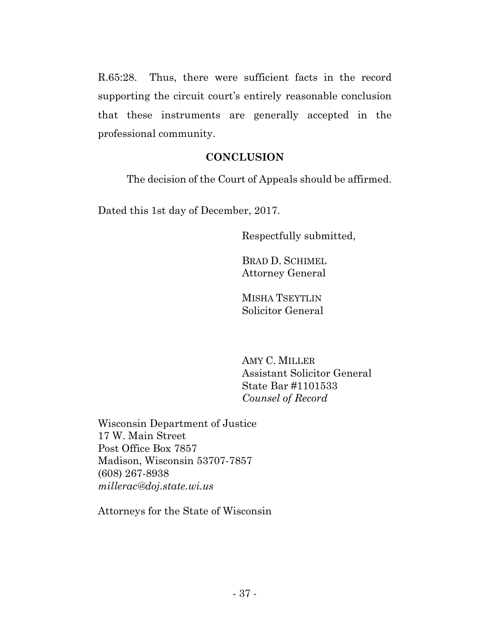R.65:28. Thus, there were sufficient facts in the record supporting the circuit court's entirely reasonable conclusion that these instruments are generally accepted in the professional community.

### **CONCLUSION**

The decision of the Court of Appeals should be affirmed.

Dated this 1st day of December, 2017.

Respectfully submitted,

BRAD D. SCHIMEL Attorney General

MISHA TSEYTLIN Solicitor General

AMY C. MILLER Assistant Solicitor General State Bar #1101533 *Counsel of Record*

Wisconsin Department of Justice 17 W. Main Street Post Office Box 7857 Madison, Wisconsin 53707-7857 (608) 267-8938 *millerac@doj.state.wi.us* 

Attorneys for the State of Wisconsin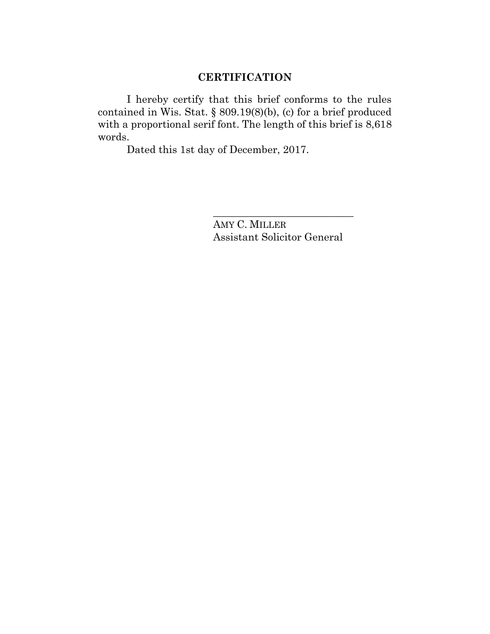# **CERTIFICATION**

I hereby certify that this brief conforms to the rules contained in Wis. Stat. § 809.19(8)(b), (c) for a brief produced with a proportional serif font. The length of this brief is 8,618 words.

Dated this 1st day of December, 2017.

AMY C. MILLER Assistant Solicitor General

\_\_\_\_\_\_\_\_\_\_\_\_\_\_\_\_\_\_\_\_\_\_\_\_\_\_\_